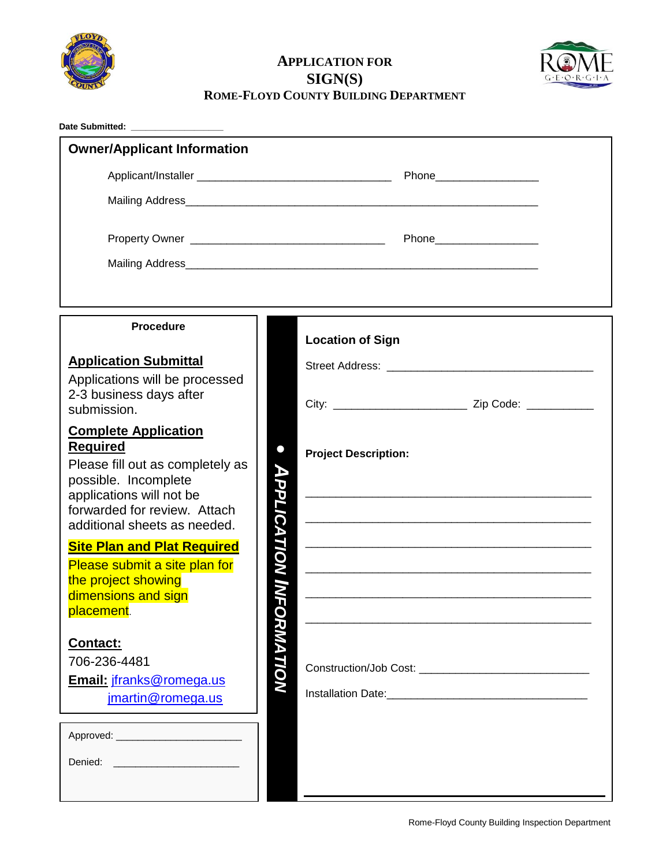

## **APPLICATION FOR SIGN(S) ROME-FLOYD COUNTY BUILDING DEPARTMENT**



| <b>Owner/Applicant Information</b>                                                                                                 |                    |                             |
|------------------------------------------------------------------------------------------------------------------------------------|--------------------|-----------------------------|
|                                                                                                                                    |                    |                             |
|                                                                                                                                    |                    |                             |
|                                                                                                                                    |                    |                             |
|                                                                                                                                    |                    |                             |
|                                                                                                                                    |                    |                             |
|                                                                                                                                    |                    |                             |
| <b>Procedure</b>                                                                                                                   |                    |                             |
|                                                                                                                                    |                    | <b>Location of Sign</b>     |
| <b>Application Submittal</b><br>Applications will be processed                                                                     |                    |                             |
| 2-3 business days after                                                                                                            |                    |                             |
| submission.                                                                                                                        |                    |                             |
| <b>Complete Application</b><br><b>Required</b>                                                                                     | $\bullet$          | <b>Project Description:</b> |
| Please fill out as completely as                                                                                                   |                    |                             |
| possible. Incomplete<br>applications will not be                                                                                   |                    |                             |
| forwarded for review. Attach<br>additional sheets as needed.                                                                       |                    |                             |
| <b>Site Plan and Plat Required</b>                                                                                                 | <b>APPLICATION</b> |                             |
| Please submit a site plan for                                                                                                      |                    |                             |
| the project showing<br>dimensions and sign                                                                                         |                    |                             |
| placement.                                                                                                                         |                    |                             |
| Contact:                                                                                                                           | <b>ORMATION</b>    |                             |
| 706-236-4481                                                                                                                       |                    |                             |
| Email: jfranks@romega.us<br>jmartin@romega.us                                                                                      |                    |                             |
|                                                                                                                                    |                    |                             |
|                                                                                                                                    |                    |                             |
| <u> 1989 - Johann Stoff, deutscher Stoffen und der Stoffen und der Stoffen und der Stoffen und der Stoffen und der </u><br>Denied: |                    |                             |
|                                                                                                                                    |                    |                             |